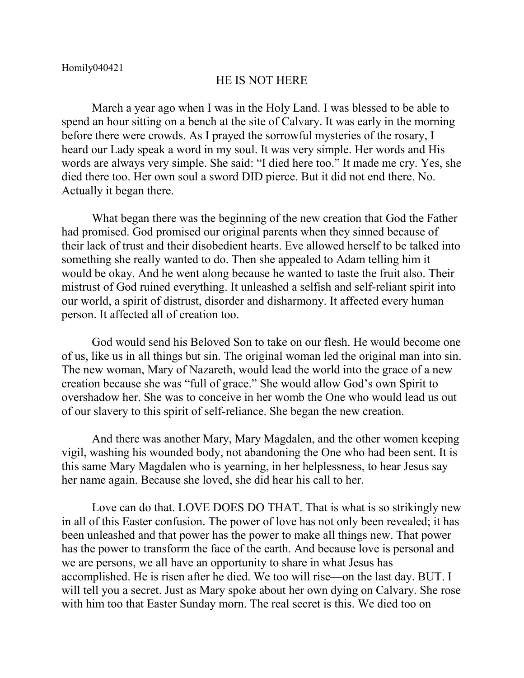## HE IS NOT HERE

March a year ago when I was in the Holy Land. I was blessed to be able to spend an hour sitting on a bench at the site of Calvary. It was early in the morning before there were crowds. As I prayed the sorrowful mysteries of the rosary, I heard our Lady speak a word in my soul. It was very simple. Her words and His words are always very simple. She said: "I died here too." It made me cry. Yes, she died there too. Her own soul a sword DID pierce. But it did not end there. No. Actually it began there.

What began there was the beginning of the new creation that God the Father had promised. God promised our original parents when they sinned because of their lack of trust and their disobedient hearts. Eve allowed herself to be talked into something she really wanted to do. Then she appealed to Adam telling him it would be okay. And he went along because he wanted to taste the fruit also. Their mistrust of God ruined everything. It unleashed a selfish and self-reliant spirit into our world, a spirit of distrust, disorder and disharmony. It affected every human person. It affected all of creation too.

God would send his Beloved Son to take on our flesh. He would become one of us, like us in all things but sin. The original woman led the original man into sin. The new woman, Mary of Nazareth, would lead the world into the grace of a new creation because she was "full of grace." She would allow God's own Spirit to overshadow her. She was to conceive in her womb the One who would lead us out of our slavery to this spirit of self-reliance. She began the new creation.

And there was another Mary, Mary Magdalen, and the other women keeping vigil, washing his wounded body, not abandoning the One who had been sent. It is this same Mary Magdalen who is yearning, in her helplessness, to hear Jesus say her name again. Because she loved, she did hear his call to her.

Love can do that. LOVE DOES DO THAT. That is what is so strikingly new in all of this Easter confusion. The power of love has not only been revealed; it has been unleashed and that power has the power to make all things new. That power has the power to transform the face of the earth. And because love is personal and we are persons, we all have an opportunity to share in what Jesus has accomplished. He is risen after he died. We too will rise—on the last day. BUT. I will tell you a secret. Just as Mary spoke about her own dying on Calvary. She rose with him too that Easter Sunday morn. The real secret is this. We died too on